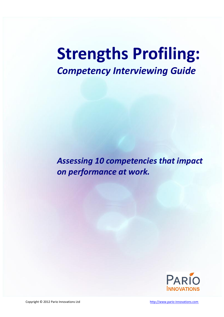# **Strengths Profiling:**  *Competency Interviewing Guide*

*Assessing 10 competencies that impact on performance at work.*

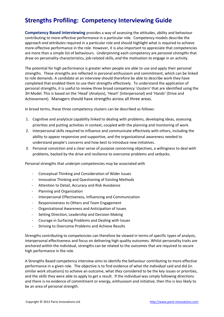# **Strengths Profiling: Competency Interviewing Guide**

**Competency Based Interviewing** provides a way of assessing the attitudes, ability and behaviour contributing to more-effective performance in a particular role. Competency models describe the *approach and attributes* required in a particular role and should highlight what is required to achieve more-effective performance in the role. However, it is also important to appreciate that competencies are more than a simple list of behaviours. Underpinning each competency are *personal strengths* that draw on personality characteristics, job-related skills, *and* the motivation to engage in an activity.

The potential for high performance is greater when people are able to use and apply their personal strengths. These strengths are reflected in personal enthusiasm and commitment, which can be linked to role demands. A candidate at an interview should therefore be able to describe work they have completed that enabled them to use their strengths effectively. To understand the application of personal strengths, it is useful to review three broad competency 'clusters' that are identified using the 3H Model. This is based on the 'Head' (Analysis), 'Heart' (Interpersonal) and 'Hands' (Drive and Achievement). Managers should have strengths across all three areas.

In broad terms, these three competency clusters can be described as follows:

- 1. Cognitive and analytical capability linked to dealing with problems, developing ideas, assessing priorities and putting activities in context, coupled with the planning and monitoring of work.
- 2. Interpersonal skills required to influence and communicate effectively with others, including the ability to appear responsive and supportive, and the organizational awareness needed to understand people's concerns and how best to introduce new initiatives.
- 3. Personal conviction and a clear sense of purpose concerning objectives, a willingness to deal with problems, backed by the drive and resilience to overcome problems and setbacks.

Personal strengths that underpin competencies may be associated with

- Conceptual Thinking and Consideration of Wider Issues
- Innovative Thinking and Questioning of Existing Methods
- Attention to Detail, Accuracy and Risk Avoidance
- Planning and Organization
- Interpersonal Effectiveness, Influencing and Communication
- Responsiveness to Others and Team Engagement
- Organizational Awareness and Anticipation of Issues
- Setting Direction, Leadership and Decision Making
- Courage in Surfacing Problems and Dealing with Issues
- Striving to Overcome Problems and Achieve Results

Strengths contributing to competencies can therefore be viewed in terms of specific types of analysis, interpersonal effectiveness and focus on delivering high quality outcomes. Whilst personality traits are anchored *within* the individual, strengths can be related to the *outcomes* that are required to secure high performance in the role.

A Strengths Based competency interview aims to identify the behaviour contributing to more effective performance in a given role. The objective is to find evidence of what *the individual* said and did (in similar work situations) to achieve an outcome, what *they* considered to be the key issues or priorities, and the *skills* they were able to apply to get a result. If the individual was simply following directions and there is no evidence of commitment or energy, enthusiasm and initiative, then this is less likely to be an area of personal strength.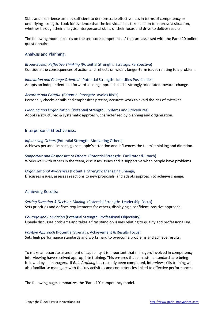Skills and experience are not sufficient to demonstrate effectiveness in terms of competency or underlying strength. Look for evidence that the individual has taken action to improve a situation, whether through their analysis, interpersonal skills, or their focus and drive to deliver results.

The following model focuses on the ten 'core competencies' that are assessed with the Pario 10 online questionnaire.

#### Analysis and Planning:

*Broad-Based, Reflective Thinking (*Potential Strength: Strategic Perspective) Considers the consequences of action and reflects on wider, longer-term issues relating to a problem.

*Innovation and Change Oriented* (Potential Strength: Identifies Possibilities) Adopts an independent and forward-looking approach and is strongly orientated towards change.

*Accurate and Careful* (Potential Strength: Avoids Risks) Personally checks details and emphasizes precise, accurate work to avoid the risk of mistakes.

*Planning and Organization* (Potential Strength: Systems and Procedures) Adopts a structured & systematic approach, characterized by planning and organization.

#### Interpersonal Effectiveness:

*Influencing Others* (Potential Strength: Motivating Others) Achieves personal impact, gains people's attention and influences the team's thinking and direction.

*Supportive and Responsive to Others* (Potential Strength: Facilitator & Coach) Works well with others in the team, discusses issues and is supportive when people have problems.

*Organizational Awareness (*Potential Strength: Managing Change*)* Discusses issues, assesses reactions to new proposals, and adapts approach to achieve change.

#### Achieving Results:

*Setting Direction & Decision Making* (Potential Strength: Leadership Focus) Sets priorities and defines requirements for others, displaying a confident, positive approach.

*Courage and Conviction* (Potential Strength: Professional Objectivity) Openly discusses problems and takes a firm stand on issues relating to quality and professionalism.

*Positive Approach* (Potential Strength: Achievement & Results Focus) Sets high performance standards and works hard to overcome problems and achieve results.

To make an accurate assessment of capability it is important that managers involved in competency interviewing have received appropriate training. This ensures that consistent standards are being followed by all managers. If *Role Profiling* has recently been completed, interview skills training will also familiarise managers with the key activities and competencies linked to effective performance.

The following page summarizes the 'Pario 10' competency model.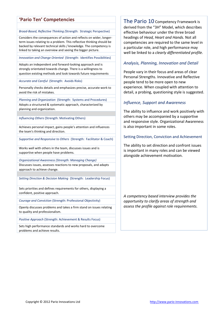# **'Pario Ten' Competencies**

#### *Broad-Based, Reflective Thinking (*Strength: Strategic Perspective)

Considers the consequences of action and reflects on wider, longerterm issues relating to a problem. This reflective thinking should be backed by relevant technical skills / knowledge. The competency is linked to taking an overview and seeing the bigger picture.

*Innovation and Change Oriented* (Strength: Identifies Possibilities)

Adopts an independent and forward-looking approach and is strongly orientated towards change. There is a willingness to question existing methods and look towards future requirements

*Accurate and Careful* (Strength: Avoids Risks)

Personally checks details and emphasizes precise, accurate work to avoid the risk of mistakes.

*Planning and Organization* (Strength: Systems and Procedures) Adopts a structured & systematic approach, characterized by planning and organization.

*Influencing Others* (Strength: Motivating Others)

Achieves personal impact, gains people's attention and influences the team's thinking and direction.

*Supportive and Responsive to Others* (Strength: Facilitator & Coach)

Works well with others in the team, discusses issues and is supportive when people have problems.

*Organizational Awareness (Strength: Managing Change)* Discusses issues, assesses reactions to new proposals, and adapts approach to achieve change.

*Setting Direction & Decision Making* (Strength: Leadership Focus)

Sets priorities and defines requirements for others, displaying a confident, positive approach.

*Courage and Conviction* (Strength: Professional Objectivity)

Openly discusses problems and takes a firm stand on issues relating to quality and professionalism.

*Positive Approach* (Strength: Achievement & Results Focus)

Sets high performance standards and works hard to overcome problems and achieve results.

The Pario 10 Competency Framework is derived from the "3H" Model, which describes effective behaviour under the three broad headings of *Head, Heart and Hands.* Not all competencies are required to the same level in a particular role, and high performance may well be linked to a *clearly differentiated profile.*

#### *Analysis, Planning, Innovation and Detail*

People vary in their focus and areas of clear Personal Strengths. Innovative and Reflective people tend to be more open to new experience. When coupled with attention to detail, a probing, questioning style is suggested.

#### *Influence, Support and Awareness*

The ability to influence and work positively with others may be accompanied by a supportive and responsive style. Organizational Awareness is also important in some roles.

#### Setting Direction, Conviction and Achievement

The ability to set direction and confront issues is important in many roles and can be viewed alongside achievement motivation.

*A competency based interview provides the opportunity to clarify areas of strength and assess the profile against role requirements.*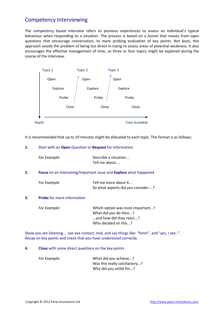# Competency Interviewing

The competency based interview refers to previous experiences to assess an individual's typical behaviour when responding to a situation. The process is based on a *funnel* that moves from open questions that encourage conversation, to more probing evaluation of key points. Not least, this approach avoids the problem of being too direct in trying to assess areas of potential weakness. It also encourages the effective management of time, so three or four topics might be explored during the course of the interview.



It is recommended that up to 10 minutes might be allocated to each topic. The format is as follows;

#### **1.** Start with an **Open** Question or **Request** for Information

|    | For Example:                                                                    | Describe a situation<br>Tell me about                                                |
|----|---------------------------------------------------------------------------------|--------------------------------------------------------------------------------------|
| 2. | <b>Focus</b> on an interesting/important issue and <b>Explore</b> what happened |                                                                                      |
|    | For Example:                                                                    | Tell me more about X<br>So what aspects did you consider?                            |
| 3. | <b>Probe</b> for more information                                               |                                                                                      |
|    | For Example:                                                                    | Which option was most important?<br>What did you do then?<br>and how did they react? |

Show you are listening… use eye contact, nod, and say things like: "hmm", and "yes, I see..". Recap on key points and check that you have understood correctly.

Who decided on this...?

#### **4. Close** with some direct questions on the key points

| For Example: | What did you achieve?         |
|--------------|-------------------------------|
|              | Was this really satisfactory? |
|              | Why did you settle for?       |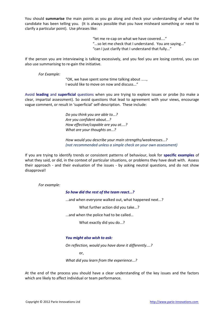You should **summarise** the main points as you go along and check your understanding of what the candidate has been telling you. (It is always possible that you have misheard something or need to clarify a particular point). Use phrases like:

> "let me re-cap on what we have covered...." "...so let me check that I understand. You are saying..." "can I just clarify that I understand that fully..."

If the person you are interviewing is talking excessively, and you feel you are losing control, you can also use summarising to re-gain the initiative.

*For Example:*

"OK, we have spent some time talking about ....., I would like to move on now and discuss..."

Avoid **leading** and **superficial** questions when you are trying to explore issues or probe (to make a clear, impartial assessment). So avoid questions that lead to agreement with your views, encourage vague comment, or result in 'superficial' self-description. These include:

> *Do you think you are able to...? Are you confident about...? How effective/capable are you at....? What are your thoughts on...?*

*How would you describe your main strengths/weaknesses...? (not recommended unless a simple check on your own assessment)*

If you are trying to identify trends or consistent patterns of behaviour, look for **specific examples** of what they said, or did, in the context of particular situations, or problems they have dealt with. Assess their approach - and their evaluation of the issues - by asking neutral questions, and do not show disapproval!

*For example:*

#### *So how did the rest of the team react...?*

...and when everyone walked out, what happened next...?

What further action did you take...?

...and when the police had to be called…

What exactly did you do...?

#### *You might also wish to ask:*

*On reflection, would you have done it differently....?*

or,

*What did you learn from the experience...?*

At the end of the process you should have a clear understanding of the key issues and the factors which are likely to affect individual or team performance.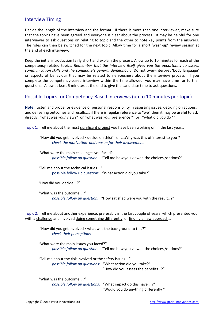## Interview Timing

Decide the length of the interview and the format. If there is more than one interviewer, make sure that the topics have been agreed and everyone is clear about the process. It may be helpful for one interviewer to ask questions on relating to topic and the other to note key points from the answers. The roles can then be switched for the next topic. Allow time for a short 'wash-up' review session at the end of each interview.

Keep the initial introduction fairly short and explain the process. Allow up to 10 minutes for each of the competency related topics. *Remember that the interview itself gives you the opportunity to assess communication skills and the candidate's general demeanour.* Do not over-interpret 'body language' or aspects of behaviour that may be related to nervousness about the interview process If you complete the competency-based interview within the time allowed, you may have time for further questions. Allow at least 5 minutes at the end to give the candidate time to ask questions.

## Possible Topics for Competency-Based Interviews (up to 10 minutes per topic)

**Note:** Listen and probe for evidence of personal responsibility in assessing issues, deciding on actions, and delivering outcomes and results…. if there is regular reference to "we" then it may be useful to ask directly: "what was *your* view?" or "what was *your* preference?" or "what did *you* do? "

Topic 1: Tell me about the most significant project you have been working on in the last year…

"How did you get involved / decide on this?" or ….Why was this of interest to you ? *check the motivation and reason for their involvement…*

"What were the main challenges you faced?" *possible follow up question:* "Tell me how you viewed the choices /options?"

"Tell me about the technical issues …" possible follow up question: "What action did you take?"

"How did you decide…?"

"What was the outcome…?" *possible follow up question:* "How satisfied were you with the result…?"

Topic 2: Tell me about another experience, preferably in the last couple of years, which presented you with a challenge and involved doing something differently, or finding a new approach...

"How did you get involved / what was the background to this?" *check their perceptions* 

"What were the main issues you faced?" *possible follow up question:* "Tell me how you viewed the choices /options?"

"Tell me about the risk involved or the safety issues …" *possible follow up questions:* "What action did you take?"

"How did you assess the benefits…?"

"What was the outcome…?" *possible follow up questions:* "What impact do this have …?" "Would you do anything differently?"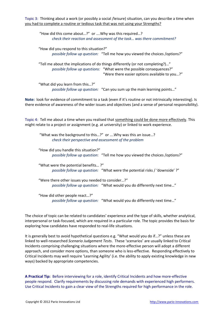Topic 3: Thinking about a work (or possibly a social /leisure) situation, can you describe a time when you had to complete a routine or tedious task that was not using your Strengths?

"How did this come about…?" or ….Why was this required…? *check their reaction and assessment of the task… was there commitment?*

"How did you respond to this situation?" *possible follow up question:* "Tell me how you viewed the choices /options?"

"Tell me about the implications of do things differently (or not completing?)…" *possible follow up questions:* "What were the possible consequences?" "Were there easier options available to you…?"

"What did you learn from this…?" *possible follow up question:* "Can you sum up the main learning points…"

**Note:** look for evidence of commitment to a task (even if it's routine or not intrinsically interesting). Is there evidence of awareness of the wider issues and objectives (and a sense of personal responsibility).

Topic 4: Tell me about a time when you realised that something could be done more effectively. This might relate to a project or assignment (e.g. at university) or linked to work experience.

"What was the background to this…?" or ….Why was this an issue…? *check their perspective and assessment of the problem*

"How did you handle this situation?" *possible follow up question*: "Tell me how you viewed the choices /options?"

"What were the potential benefits… ?" *possible follow up question:* "What were the potential risks / 'downside' ?"

"Were there other issues you needed to consider…?" *possible follow up question:* "What would you do differently next time…"

"How did other people react…?" *possible follow up question:* "What would you do differently next time…"

The choice of topic can be related to candidates' experience and the type of skills, whether analytical, interpersonal or task-focused, which are required in a particular role. The topic provides the basis for exploring how candidates have responded to real-life situations.

It is generally best to avoid hypothetical questions e.g. "What would you do if…?" unless these are linked to well-researched *Scenario Judgement Tests*. These 'scenarios' are usually linked to Critical Incidents comprising challenging situations where the more-effective person will adopt a different approach, and consider more options, than someone who is less-effective. Responding effectively to Critical Incidents may well require 'Learning Agility' (i.e. the ability to apply existing knowledge in new ways) backed by appropriate competencies.

**A Practical Tip:** Before interviewing for a role, identify Critical Incidents and how more-effective people respond. Clarify requirements by discussing role demands with experienced high performers. Use Critical Incidents to gain a clear view of the Strengths required for high performance in the role.